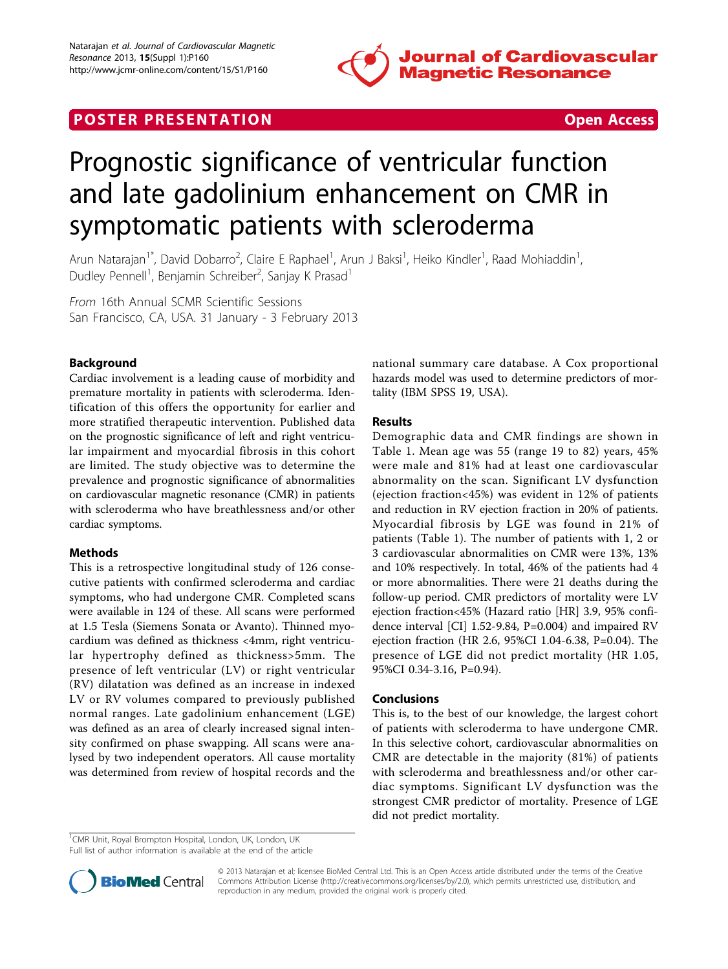

# **POSTER PRESENTATION CONSUMING THE SECOND CONSUMING THE SECOND CONSUMING THE SECOND CONSUMING THE SECOND CONSUMING THE SECOND CONSUMING THE SECOND CONSUMING THE SECOND CONSUMING THE SECOND CONSUMING THE SECOND CONSUMING**



# Prognostic significance of ventricular function and late gadolinium enhancement on CMR in symptomatic patients with scleroderma

Arun Natarajan<sup>1\*</sup>, David Dobarro<sup>2</sup>, Claire E Raphael<sup>1</sup>, Arun J Baksi<sup>1</sup>, Heiko Kindler<sup>1</sup>, Raad Mohiaddin<sup>1</sup> , Dudley Pennell<sup>1</sup>, Benjamin Schreiber<sup>2</sup>, Sanjay K Prasad<sup>1</sup>

From 16th Annual SCMR Scientific Sessions San Francisco, CA, USA. 31 January - 3 February 2013

## Background

Cardiac involvement is a leading cause of morbidity and premature mortality in patients with scleroderma. Identification of this offers the opportunity for earlier and more stratified therapeutic intervention. Published data on the prognostic significance of left and right ventricular impairment and myocardial fibrosis in this cohort are limited. The study objective was to determine the prevalence and prognostic significance of abnormalities on cardiovascular magnetic resonance (CMR) in patients with scleroderma who have breathlessness and/or other cardiac symptoms.

### Methods

This is a retrospective longitudinal study of 126 consecutive patients with confirmed scleroderma and cardiac symptoms, who had undergone CMR. Completed scans were available in 124 of these. All scans were performed at 1.5 Tesla (Siemens Sonata or Avanto). Thinned myocardium was defined as thickness <4mm, right ventricular hypertrophy defined as thickness>5mm. The presence of left ventricular (LV) or right ventricular (RV) dilatation was defined as an increase in indexed LV or RV volumes compared to previously published normal ranges. Late gadolinium enhancement (LGE) was defined as an area of clearly increased signal intensity confirmed on phase swapping. All scans were analysed by two independent operators. All cause mortality was determined from review of hospital records and the national summary care database. A Cox proportional hazards model was used to determine predictors of mortality (IBM SPSS 19, USA).

#### Results

Demographic data and CMR findings are shown in Table [1](#page-1-0). Mean age was 55 (range 19 to 82) years, 45% were male and 81% had at least one cardiovascular abnormality on the scan. Significant LV dysfunction (ejection fraction<45%) was evident in 12% of patients and reduction in RV ejection fraction in 20% of patients. Myocardial fibrosis by LGE was found in 21% of patients (Table [1](#page-1-0)). The number of patients with 1, 2 or 3 cardiovascular abnormalities on CMR were 13%, 13% and 10% respectively. In total, 46% of the patients had 4 or more abnormalities. There were 21 deaths during the follow-up period. CMR predictors of mortality were LV ejection fraction<45% (Hazard ratio [HR] 3.9, 95% confidence interval [CI] 1.52-9.84, P=0.004) and impaired RV ejection fraction (HR 2.6, 95%CI 1.04-6.38, P=0.04). The presence of LGE did not predict mortality (HR 1.05, 95%CI 0.34-3.16, P=0.94).

#### Conclusions

This is, to the best of our knowledge, the largest cohort of patients with scleroderma to have undergone CMR. In this selective cohort, cardiovascular abnormalities on CMR are detectable in the majority (81%) of patients with scleroderma and breathlessness and/or other cardiac symptoms. Significant LV dysfunction was the strongest CMR predictor of mortality. Presence of LGE did not predict mortality.

<sup>1</sup>CMR Unit, Royal Brompton Hospital, London, UK, London, UK

Full list of author information is available at the end of the article



© 2013 Natarajan et al; licensee BioMed Central Ltd. This is an Open Access article distributed under the terms of the Creative Commons Attribution License [\(http://creativecommons.org/licenses/by/2.0](http://creativecommons.org/licenses/by/2.0)), which permits unrestricted use, distribution, and reproduction in any medium, provided the original work is properly cited.